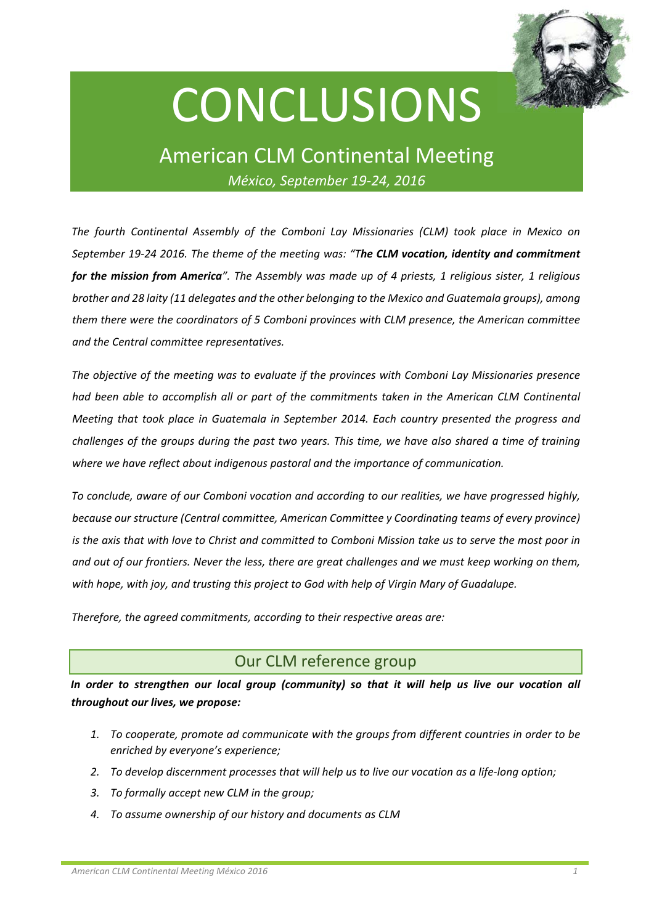

# **CONCLUSIONS**

## American CLM Continental Meeting *México, September 19‐24, 2016*

*The fourth Continental Assembly of the Comboni Lay Missionaries (CLM) took place in Mexico on September 19‐24 2016. The theme of the meeting was: "The CLM vocation, identity and commitment* for the mission from America". The Assembly was made up of 4 priests, 1 religious sister, 1 religious *brother and 28 laity (11 delegates and the other belonging to the Mexico and Guatemala groups), among them there were the coordinators of 5 Comboni provinces with CLM presence, the American committee and the Central committee representatives.* 

*The objective of the meeting was to evaluate if the provinces with Comboni Lay Missionaries presence had been able to accomplish all or part of the commitments taken in the American CLM Continental Meeting that took place in Guatemala in September 2014. Each country presented the progress and* challenges of the groups during the past two years. This time, we have also shared a time of training *where we have reflect about indigenous pastoral and the importance of communication.* 

*To conclude, aware of our Comboni vocation and according to our realities, we have progressed highly, because our structure (Central committee, American Committee y Coordinating teams of every province)* is the axis that with love to Christ and committed to Comboni Mission take us to serve the most poor in and out of our frontiers. Never the less, there are great challenges and we must keep working on them, *with hope, with joy, and trusting this project to God with help of Virgin Mary of Guadalupe.* 

*Therefore, the agreed commitments, according to their respective areas are:* 

## Our CLM reference group

*In order to strengthen our local group (community) so that it will help us live our vocation all throughout our lives, we propose:*

- *1. To cooperate, promote ad communicate with the groups from different countries in order to be enriched by everyone's experience;*
- 2. To develop discernment processes that will help us to live our vocation as a life-long option;
- *3. To formally accept new CLM in the group;*
- *4. To assume ownership of our history and documents as CLM*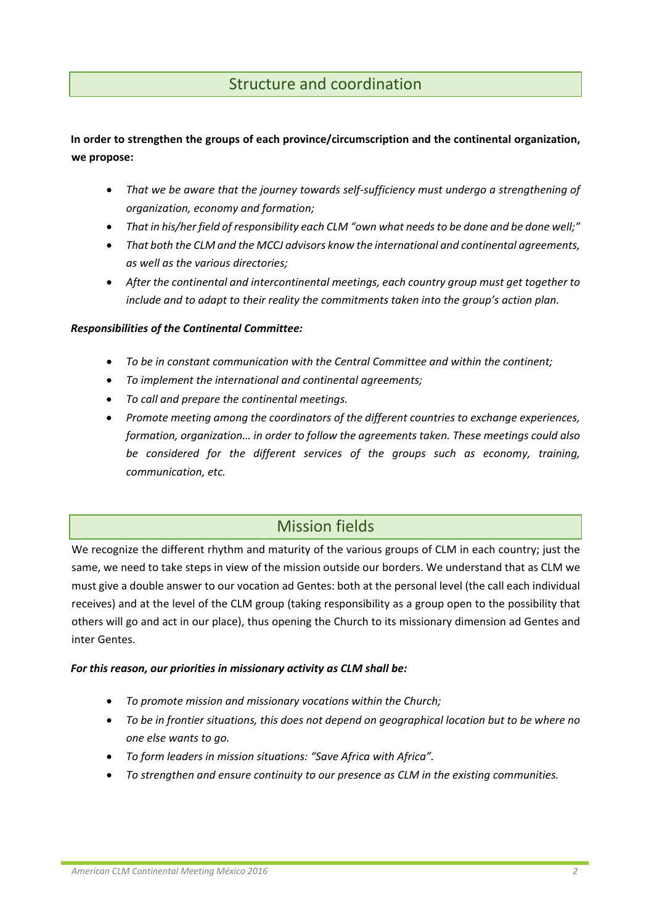## Structure and coordination

**In order to strengthen the groups of each province/circumscription and the continental organization, we propose:**

- *That we be aware that the journey towards self‐sufficiency must undergo a strengthening of organization, economy and formation;*
- *That in his/her field of responsibility each CLM "own what needsto be done and be done well;"*
- *That both the CLM and the MCCJ advisors know the international and continental agreements, as well as the various directories;*
- *After the continental and intercontinental meetings, each country group must get together to include and to adapt to their reality the commitments taken into the group's action plan.*

#### *Responsibilities of the Continental Committee:*

- *To be in constant communication with the Central Committee and within the continent;*
- *To implement the international and continental agreements;*
- *To call and prepare the continental meetings.*
- *Promote meeting among the coordinators of the different countries to exchange experiences, formation, organization… in order to follow the agreements taken. These meetings could also be considered for the different services of the groups such as economy, training, communication, etc.*

## Mission fields

We recognize the different rhythm and maturity of the various groups of CLM in each country; just the same, we need to take steps in view of the mission outside our borders. We understand that as CLM we must give a double answer to our vocation ad Gentes: both at the personal level (the call each individual receives) and at the level of the CLM group (taking responsibility as a group open to the possibility that others will go and act in our place), thus opening the Church to its missionary dimension ad Gentes and inter Gentes.

#### *For this reason, our priorities in missionary activity as CLM shall be:*

- *To promote mission and missionary vocations within the Church;*
- *To be in frontier situations, this does not depend on geographical location but to be where no one else wants to go.*
- *To form leaders in mission situations: "Save Africa with Africa".*
- *To strengthen and ensure continuity to our presence as CLM in the existing communities.*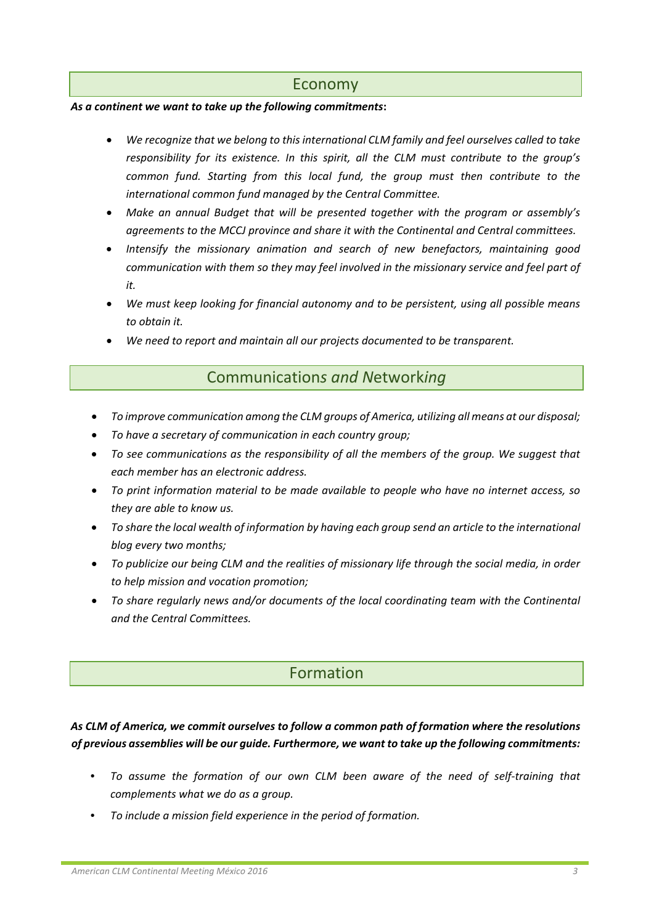#### Economy

#### *As a continent we want to take up the following commitments***:**

- *We recognize that we belong to this international CLM family and feel ourselves called to take responsibility for its existence. In this spirit, all the CLM must contribute to the group's common fund. Starting from this local fund, the group must then contribute to the international common fund managed by the Central Committee.*
- *Make an annual Budget that will be presented together with the program or assembly's agreements to the MCCJ province and share it with the Continental and Central committees.*
- *Intensify the missionary animation and search of new benefactors, maintaining good communication with them so they may feel involved in the missionary service and feel part of*  $it<sub>r</sub>$
- *We must keep looking for financial autonomy and to be persistent, using all possible means to obtain it.*
- *We need to report and maintain all our projects documented to be transparent.*

### Communication*s and N*etwork*ing*

- *To improve communication among the CLM groups of America, utilizing all means at our disposal;*
- *To have a secretary of communication in each country group;*
- *To see communications as the responsibility of all the members of the group. We suggest that each member has an electronic address.*
- *To print information material to be made available to people who have no internet access, so they are able to know us.*
- *To share the local wealth of information by having each group send an article to the international blog every two months;*
- *To publicize our being CLM and the realities of missionary life through the social media, in order to help mission and vocation promotion;*
- *To share regularly news and/or documents of the local coordinating team with the Continental and the Central Committees.*

## Formation

#### *As CLM of America, we commit ourselves to follow a common path of formation where the resolutions of previous assemblies will be our guide. Furthermore, we want to take up the following commitments:*

- *To assume the formation of our own CLM been aware of the need of self‐training that complements what we do as a group.*
- *To include a mission field experience in the period of formation.*